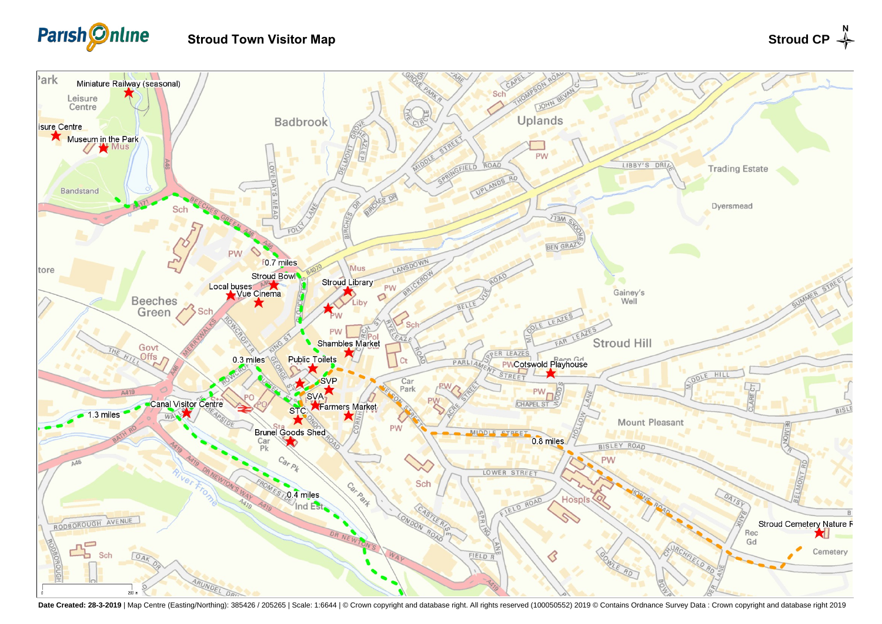

## **Stroud Town Visitor Map**



Date Created: 28-3-2019 | Map Centre (Easting/Northing): 385426 / 205265 | Scale: 1:6644 | @ Crown copyright and database right. All rights reserved (100050552) 2019 @ Contains Ordnance Survey Data : Crown copyright and da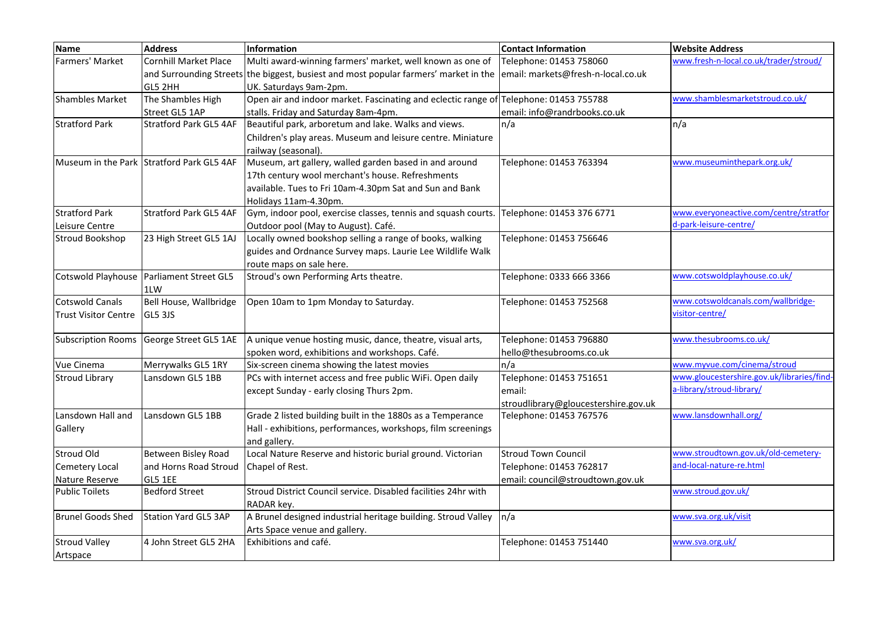| <b>Name</b>                 | <b>Address</b>                            | Information                                                                           | <b>Contact Information</b>           | <b>Website Address</b>                    |
|-----------------------------|-------------------------------------------|---------------------------------------------------------------------------------------|--------------------------------------|-------------------------------------------|
| Farmers' Market             | <b>Cornhill Market Place</b>              | Multi award-winning farmers' market, well known as one of                             | Telephone: 01453 758060              | www.fresh-n-local.co.uk/trader/stroud/    |
|                             |                                           | and Surrounding Streets the biggest, busiest and most popular farmers' market in the  | email: markets@fresh-n-local.co.uk   |                                           |
|                             | GL5 2HH                                   | UK. Saturdays 9am-2pm.                                                                |                                      |                                           |
| Shambles Market             | The Shambles High                         | Open air and indoor market. Fascinating and eclectic range of Telephone: 01453 755788 |                                      | www.shamblesmarketstroud.co.uk/           |
|                             | Street GL5 1AP                            | stalls. Friday and Saturday 8am-4pm.                                                  | email: info@randrbooks.co.uk         |                                           |
| <b>Stratford Park</b>       | <b>Stratford Park GL5 4AF</b>             | Beautiful park, arboretum and lake. Walks and views.                                  | n/a                                  | n/a                                       |
|                             |                                           | Children's play areas. Museum and leisure centre. Miniature                           |                                      |                                           |
|                             |                                           | railway (seasonal).                                                                   |                                      |                                           |
|                             | Museum in the Park Stratford Park GL5 4AF | Museum, art gallery, walled garden based in and around                                | Telephone: 01453 763394              | www.museuminthepark.org.uk/               |
|                             |                                           | 17th century wool merchant's house. Refreshments                                      |                                      |                                           |
|                             |                                           | available. Tues to Fri 10am-4.30pm Sat and Sun and Bank                               |                                      |                                           |
|                             |                                           | Holidays 11am-4.30pm.                                                                 |                                      |                                           |
| <b>Stratford Park</b>       | <b>Stratford Park GL5 4AF</b>             | Gym, indoor pool, exercise classes, tennis and squash courts.                         | Telephone: 01453 376 6771            | www.everyoneactive.com/centre/stratfor    |
| Leisure Centre              |                                           | Outdoor pool (May to August). Café.                                                   |                                      | d-park-leisure-centre/                    |
| Stroud Bookshop             | 23 High Street GL5 1AJ                    | Locally owned bookshop selling a range of books, walking                              | Telephone: 01453 756646              |                                           |
|                             |                                           | guides and Ordnance Survey maps. Laurie Lee Wildlife Walk                             |                                      |                                           |
|                             |                                           | route maps on sale here.                                                              |                                      |                                           |
| Cotswold Playhouse          | Parliament Street GL5                     | Stroud's own Performing Arts theatre.                                                 | Telephone: 0333 666 3366             | www.cotswoldplayhouse.co.uk/              |
|                             | 1LW                                       |                                                                                       |                                      |                                           |
| Cotswold Canals             | Bell House, Wallbridge                    | Open 10am to 1pm Monday to Saturday.                                                  | Telephone: 01453 752568              | www.cotswoldcanals.com/wallbridge-        |
| <b>Trust Visitor Centre</b> | <b>GL5 3JS</b>                            |                                                                                       |                                      | visitor-centre/                           |
|                             |                                           |                                                                                       |                                      |                                           |
| <b>Subscription Rooms</b>   | George Street GL5 1AE                     | A unique venue hosting music, dance, theatre, visual arts,                            | Telephone: 01453 796880              | www.thesubrooms.co.uk/                    |
|                             |                                           | spoken word, exhibitions and workshops. Café.                                         | hello@thesubrooms.co.uk              |                                           |
| Vue Cinema                  | Merrywalks GL5 1RY                        | Six-screen cinema showing the latest movies                                           | n/a                                  | www.myvue.com/cinema/stroud               |
| <b>Stroud Library</b>       | Lansdown GL5 1BB                          | PCs with internet access and free public WiFi. Open daily                             | Telephone: 01453 751651              | www.gloucestershire.gov.uk/libraries/find |
|                             |                                           | except Sunday - early closing Thurs 2pm.                                              | email:                               | a-library/stroud-library/                 |
|                             |                                           |                                                                                       | stroudlibrary@gloucestershire.gov.uk |                                           |
| Lansdown Hall and           | Lansdown GL5 1BB                          | Grade 2 listed building built in the 1880s as a Temperance                            | Telephone: 01453 767576              | www.lansdownhall.org/                     |
| Gallery                     |                                           | Hall - exhibitions, performances, workshops, film screenings                          |                                      |                                           |
|                             |                                           | and gallery.                                                                          |                                      |                                           |
| <b>Stroud Old</b>           | Between Bisley Road                       | Local Nature Reserve and historic burial ground. Victorian                            | <b>Stroud Town Council</b>           | www.stroudtown.gov.uk/old-cemetery-       |
| Cemetery Local              | and Horns Road Stroud                     | Chapel of Rest.                                                                       | Telephone: 01453 762817              | and-local-nature-re.html                  |
| Nature Reserve              | GL5 1EE                                   |                                                                                       | email: council@stroudtown.gov.uk     |                                           |
| Public Toilets              | <b>Bedford Street</b>                     | Stroud District Council service. Disabled facilities 24hr with                        |                                      | www.stroud.gov.uk/                        |
|                             |                                           | RADAR key.                                                                            |                                      |                                           |
| Brunel Goods Shed           | <b>Station Yard GL5 3AP</b>               | A Brunel designed industrial heritage building. Stroud Valley                         | n/a                                  | www.sva.org.uk/visit                      |
|                             |                                           | Arts Space venue and gallery.                                                         |                                      |                                           |
| <b>Stroud Valley</b>        | 4 John Street GL5 2HA                     | Exhibitions and café.                                                                 | Telephone: 01453 751440              | www.sva.org.uk/                           |
| Artspace                    |                                           |                                                                                       |                                      |                                           |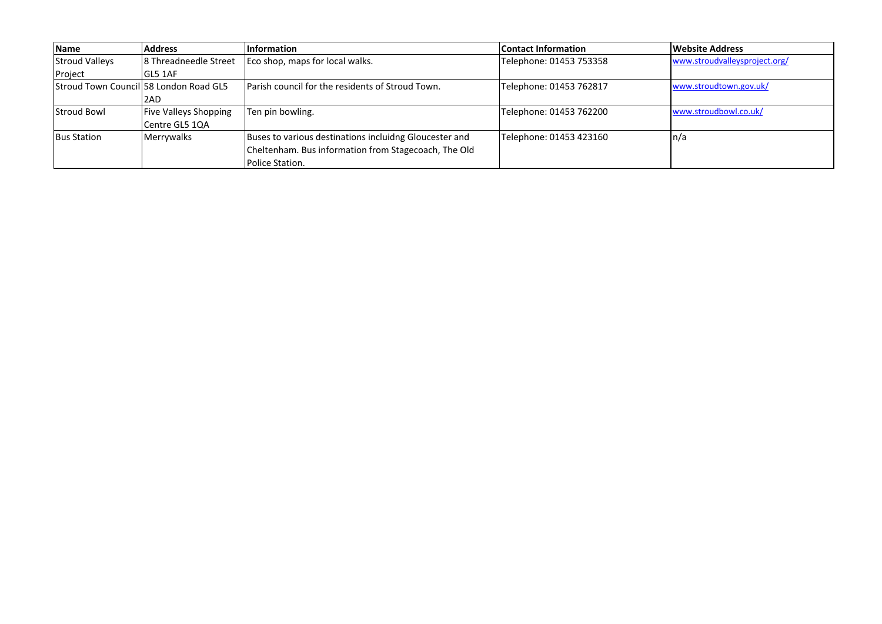| <b>Name</b>                             | <b>Address</b>               | <b>Information</b>                                     | <b>Contact Information</b> | <b>Website Address</b>        |
|-----------------------------------------|------------------------------|--------------------------------------------------------|----------------------------|-------------------------------|
| <b>Stroud Valleys</b>                   | 8 Threadneedle Street        | Eco shop, maps for local walks.                        | Telephone: 01453 753358    | www.stroudvalleysproject.org/ |
| Project                                 | GL5 1AF                      |                                                        |                            |                               |
| lStroud Town Councill58 London Road GL5 |                              | Parish council for the residents of Stroud Town.       | Telephone: 01453 762817    | www.stroudtown.gov.uk/        |
|                                         | 2AD                          |                                                        |                            |                               |
| <b>Stroud Bowl</b>                      | <b>Five Valleys Shopping</b> | Ten pin bowling.                                       | Telephone: 01453 762200    | www.stroudbowl.co.uk/         |
|                                         | Centre GL5 1QA               |                                                        |                            |                               |
| <b>Bus Station</b>                      | Merrywalks                   | Buses to various destinations incluidng Gloucester and | Telephone: 01453 423160    | n/a                           |
|                                         |                              | Cheltenham. Bus information from Stagecoach, The Old   |                            |                               |
|                                         |                              | Police Station.                                        |                            |                               |